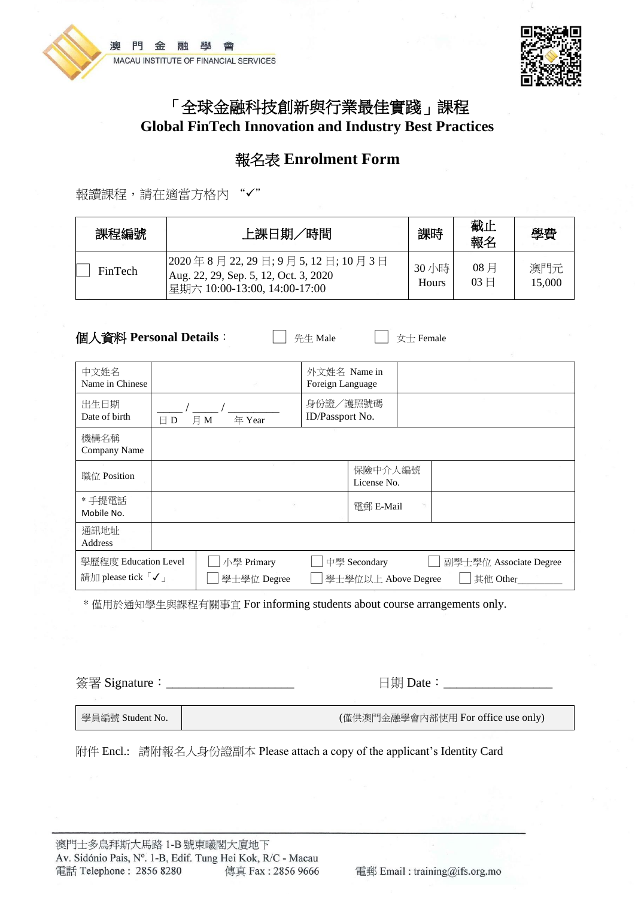



# 「全球金融科技創新與行業最佳實踐」課程 **Global FinTech Innovation and Industry Best Practices**

# 報名表 **Enrolment Form**

報讀課程,請在適當方格內

| 課程編號    | 上課日期/時間                                                                                              | 課時             | 截止<br>報名               | 學費            |
|---------|------------------------------------------------------------------------------------------------------|----------------|------------------------|---------------|
| FinTech | 2020年8月22,29日;9月5,12日;10月3日<br>Aug. 22, 29, Sep. 5, 12, Oct. 3, 2020<br>星期六 10:00-13:00, 14:00-17:00 | 30 小時<br>Hours | $08$ 月<br>$03 \square$ | 澳門元<br>15,000 |

**個人資料 Personal Details**: □ 周先生 Male □ 女士 Female

| 中文姓名<br>Name in Chinese                                                                                                                              |               |               | 外文姓名 Name in<br>Foreign Language |                        |  |
|------------------------------------------------------------------------------------------------------------------------------------------------------|---------------|---------------|----------------------------------|------------------------|--|
| 出生日期<br>Date of birth                                                                                                                                | $\boxminus$ D | 年 Year<br>月 M | 身份證/護照號碼<br>ID/Passport No.      |                        |  |
| 機構名稱<br>Company Name                                                                                                                                 |               |               |                                  |                        |  |
| 職位 Position                                                                                                                                          |               |               |                                  | 保險中介人編號<br>License No. |  |
| * 手提電話<br>Mobile No.                                                                                                                                 |               |               |                                  | 電郵 E-Mail              |  |
| 通訊地址<br><b>Address</b>                                                                                                                               |               |               |                                  |                        |  |
| 學歷程度 Education Level<br>小學 Primary<br>中學 Secondary<br>副學士學位 Associate Degree<br>請加 please tick 「✓」<br>學士學位 Degree<br>其他 Other<br>學士學位以上 Above Degree |               |               |                                  |                        |  |

\* 僅用於通知學生與課程有關事宜 For informing students about course arrangements only.

簽署 Signature:\_\_\_\_\_\_\_\_\_\_\_\_\_\_\_\_\_\_\_\_ 日期 Date:\_\_\_\_\_\_\_\_\_\_\_\_\_\_\_\_\_

學員編號 Student No. |<br> **Branches Area (僅供澳門金融學會內部使用 For office use only)** 

附件 Encl.: 請附報名人身份證副本 Please attach a copy of the applicant's Identity Card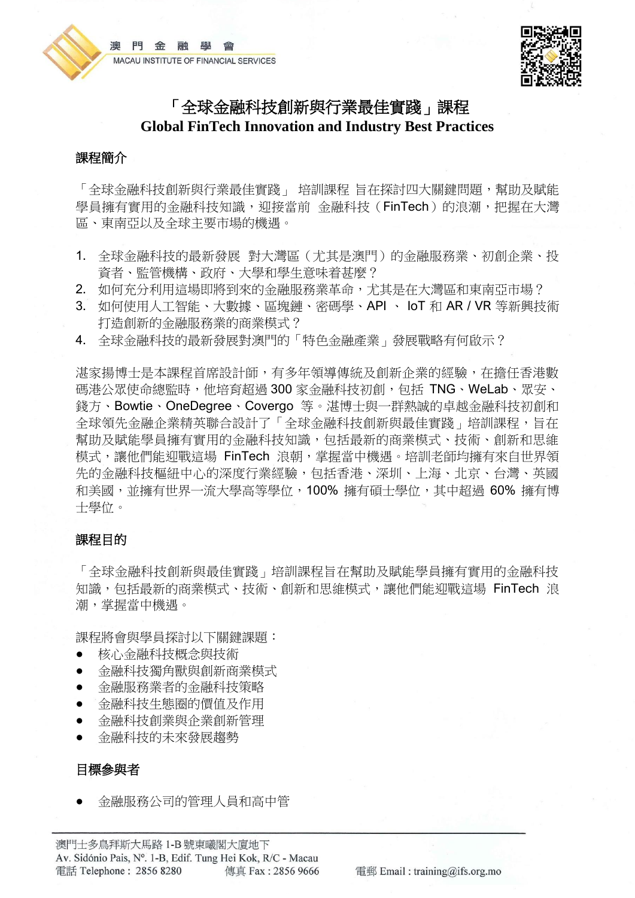



# 「全球金融科技創新與行業最佳實踐」課程 **Global FinTech Innovation and Industry Best Practices**

# 課程簡介

「全球金融科技創新與行業最佳實踐」 培訓課程 旨在探討四大關鍵問題,幫助及賦能 學員擁有實用的金融科技知識, 迎接當前 金融科技 (FinTech) 的浪潮, 把握在大灣 區、東南亞以及全球主要市場的機遇。

- 1. 全球金融科技的最新發展 對大灣區(尤其是澳門)的金融服務業、初創企業、投 資者、監管機構、政府、大學和學生意味着甚麼?
- 2. 如何充分利用這場即將到來的金融服務業革命,尤其是在大灣區和東南亞市場?
- 3. 如何使用人工智能、大數據、區塊鏈、密碼學、API 、 IoT 和 AR / VR 等新興技術 打造創新的金融服務業的商業模式?
- 4. 全球金融科技的最新發展對澳門的「特色金融產業」發展戰略有何啟示?

湛家揚博士是本課程首席設計師,有多年領導傳統及創新企業的經驗,在擔任香港數 碼港公眾使命總監時, 他培育超過 300 家金融科技初創, 包括 TNG、WeLab、眾安、 錢方、Bowtie、OneDegree、Covergo 等。湛博士與一群熱誠的卓越金融科技初創和 全球領先金融企業精英聯合設計了「全球金融科技創新與最佳實踐」培訓課程,旨在 幫助及賦能學員擁有實用的金融科技知識,包括最新的商業模式、技術、創新和思維 模式,讓他們能迎戰這場 FinTech 浪朝,掌握當中機遇。培訓老師均擁有來自世界領 先的金融科技樞紐中心的深度行業經驗,包括香港、深圳、上海、北京、台灣、英國 和美國,並擁有世界一流大學高等學位,100% 擁有碩士學位,其中超過 60% 擁有博 士學位。

# 課程目的

「全球金融科技創新與最佳實踐」培訓課程旨在幫助及賦能學員擁有實用的金融科技 知識,包括最新的商業模式、技術、創新和思維模式,讓他們能迎戰這場 FinTech 浪 潮,掌握當中機遇。

課程將會與學員探討以下關鍵課題:

- 核心金融科技概念與技術
- 金融科技獨角獸與創新商業模式
- 金融服務業者的金融科技策略
- 金融科技生態圈的價值及作用
- 金融科技創業與企業創新管理
- 金融科技的未來發展趨勢

# 目標參與者

● 金融服務公司的管理人員和高中管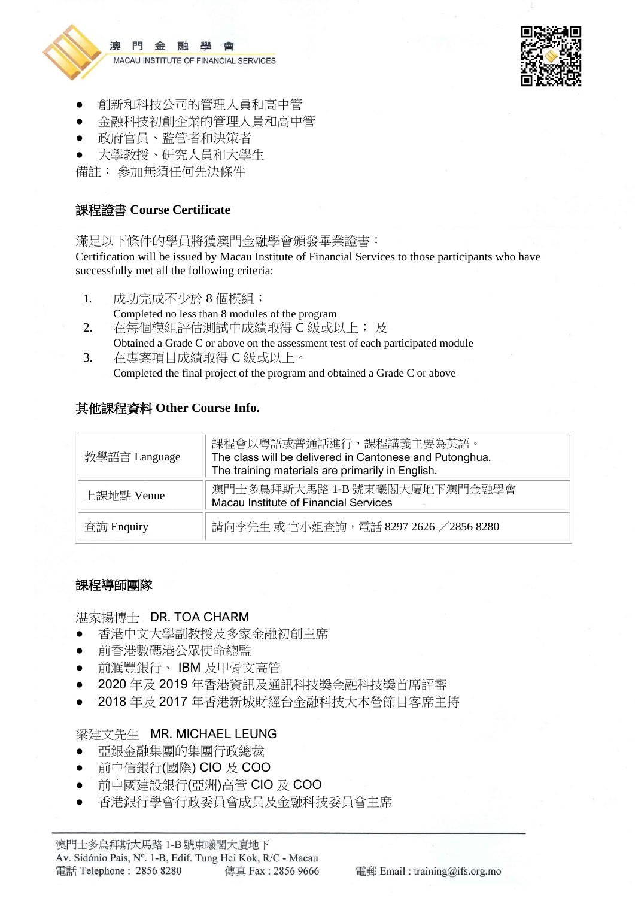

澳 門金 融 塵 MACAU INSTITUTE OF FINANCIAL SERVICES



- 創新和科技公司的管理人員和高中管
- 金融科技初創企業的管理人員和高中管
- 政府官員、監管者和決策者
- 大學教授、研究人員和大學生

備註: 參加無須任何先決條件

# 課程證書 **Course Certificate**

滿足以下條件的學員將獲澳門金融學會頒發畢業證書:

Certification will be issued by Macau Institute of Financial Services to those participants who have successfully met all the following criteria:

- 1. 成功完成不少於 8 個模組;
- Completed no less than 8 modules of the program
- 2. 在每個模組評估測試中成績取得 C 級或以上; 及

Obtained a Grade C or above on the assessment test of each participated module 3. 在專案項目成績取得 C 級或以上。

Completed the final project of the program and obtained a Grade C or above

# 其他課程資料 **Other Course Info.**

| 教學語言 Language | 課程會以粵語或普通話進行,課程講義主要為英語。<br>The class will be delivered in Cantonese and Putonghua.<br>The training materials are primarily in English. |
|---------------|----------------------------------------------------------------------------------------------------------------------------------------|
| 上課地點 Venue    | 澳門士多鳥拜斯大馬路 1-B 號東曦閣大廈地下澳門金融學會<br>Macau Institute of Financial Services                                                                 |
| 查詢 Enquiry    | 請向李先生 或 官小姐查詢,電話 8297 2626 / 2856 8280                                                                                                 |

# 課程導師團隊

# 湛家揚博士 DR. TOA CHARM

- 香港中文大學副教授及多家金融初創主席
- 前香港數碼港公眾使命總監
- 前滙豐銀行、 IBM 及甲骨文高管
- 2020年及2019年香港資訊及通訊科技獎金融科技獎首席評審
- 2018 年及 2017 年香港新城財經台金融科技大本營節目客席主持

# 梁建文先生 MR. MICHAEL LEUNG

- 亞銀金融集團的集團行政總裁
- 前中信銀行(國際) CIO 及 COO
- 前中國建設銀行(亞洲)高管 CIO 及 COO
- 香港銀行學會行政委員會成員及金融科技委員會主席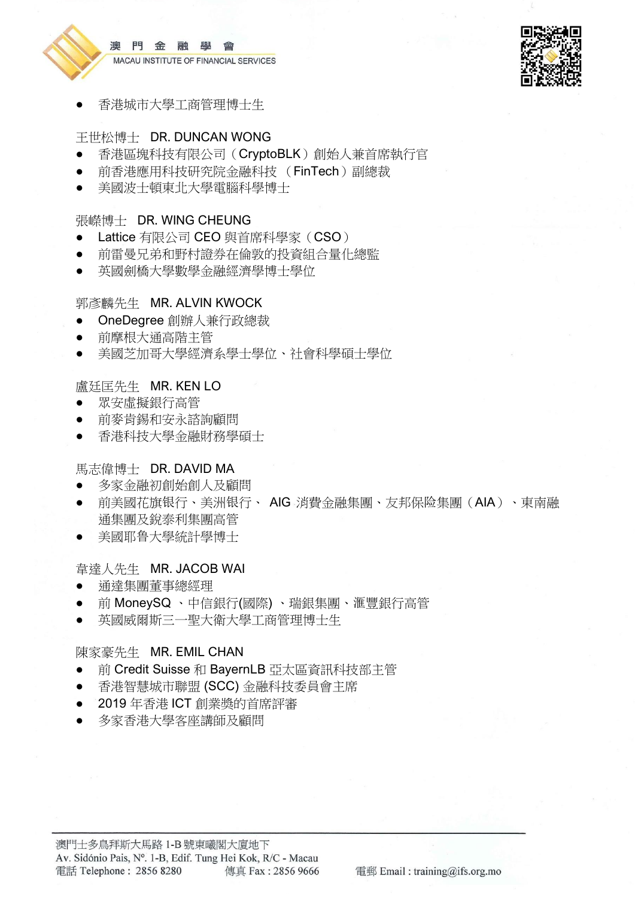



香港城市大學工商管理博士生

# 王世松博士 DR. DUNCAN WONG

- 香港區塊科技有限公司(CryptoBLK)創始人兼首席執行官
- 前香港應用科技研究院金融科技 (FinTech)副總裁
- 美國波十頓東北大學雷腦科學博十

# 張嶸博士 DR. WING CHEUNG

- Lattice 有限公司 CEO 與首席科學家(CSO)
- 前雷曼兄弟和野村證券在倫敦的投資組合量化總監
- 英國劍橋大學數學金融經濟學博士學位

# 郭彥麟先生 MR. ALVIN KWOCK

- OneDegree 創辦人兼行政總裁
- 前摩根大通高階主管
- 美國芝加哥大學經濟系學士學位、社會科學碩士學位

# 盧廷匡先生 MR. KEN LO

- 眾安虛擬銀行高管
- 前麥肯錫和安永諮詢顧問
- 香港科技大學金融財務學碩士

# 馬志偉博士 DR. DAVID MA

- 多家金融初創始創人及顧問
- 前美國花旗银行、美洲银行、 AIG 消費金融集團、友邦保险集團(AIA)、東南融 通集團及銳泰利集團高管
- 美國耶鲁大學統計學博士

# 韋達人先生 MR. JACOB WAI

- 通達集團董事總經理
- 前 MoneySQ 、中信銀行(國際) 、瑞銀集團、滙豐銀行高管
- 英國威爾斯三一聖大衛大學工商管理博士生

# 陳家豪先生 MR. EMIL CHAN

- 前 Credit Suisse 和 BayernLB 亞太區資訊科技部主管
- 香港智慧城市聯盟 (SCC) 金融科技委員會主席
- 2019 年香港 ICT 創業獎的首席評審
- 多家香港大學客座講師及顧問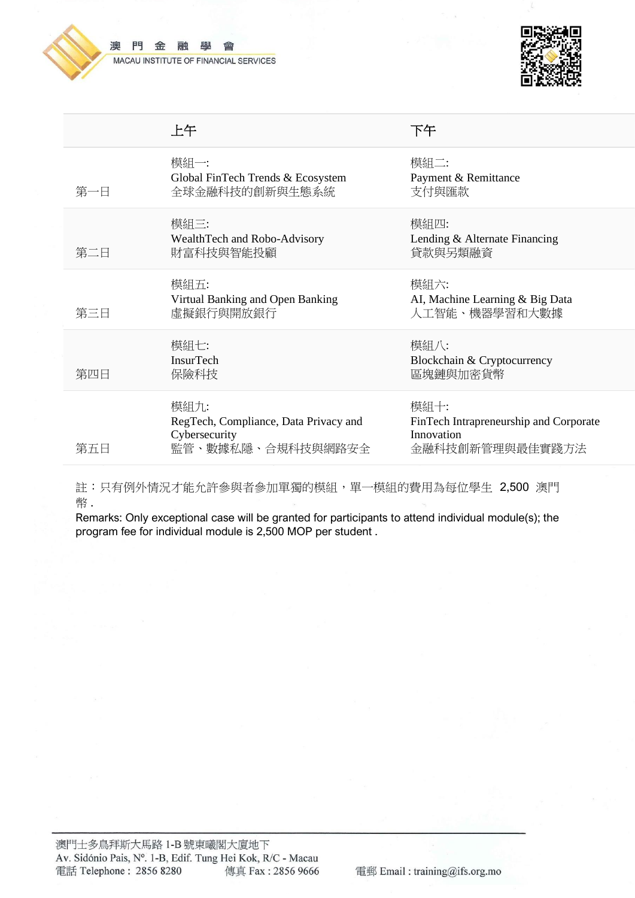

#### 澳 門 金 融 鹽 靈 MACAU INSTITUTE OF FINANCIAL SERVICES



|     | 上午                                                                                  | 下午                                                                              |
|-----|-------------------------------------------------------------------------------------|---------------------------------------------------------------------------------|
| 第一日 | 模組一:<br>Global FinTech Trends & Ecosystem<br>全球金融科技的創新與生態系統                         | 模組二:<br>Payment & Remittance<br>支付與匯款                                           |
| 第二日 | 模組三:<br>WealthTech and Robo-Advisory<br>財富科技與智能投顧                                   | 模組四:<br>Lending & Alternate Financing<br>貸款與另類融資                                |
| 第三日 | 模組五:<br>Virtual Banking and Open Banking<br>虛擬銀行與開放銀行                               | 模組六:<br>AI, Machine Learning & Big Data<br>人工智能、機器學習和大數據                        |
| 第四日 | 模組七:<br><b>InsurTech</b><br>保險科技                                                    | 模組八:<br>Blockchain & Cryptocurrency<br>區塊鏈與加密貨幣                                 |
| 第五日 | 模組九:<br>RegTech, Compliance, Data Privacy and<br>Cybersecurity<br>監管、數據私隱、合規科技與網路安全 | 模組十:<br>FinTech Intrapreneurship and Corporate<br>Innovation<br>金融科技創新管理與最佳實踐方法 |

註:只有例外情況才能允許參與者參加單獨的模組,單一模組的費用為每位學生 2,500 澳門 幣 .

Remarks: Only exceptional case will be granted for participants to attend individual module(s); the program fee for individual module is 2,500 MOP per student .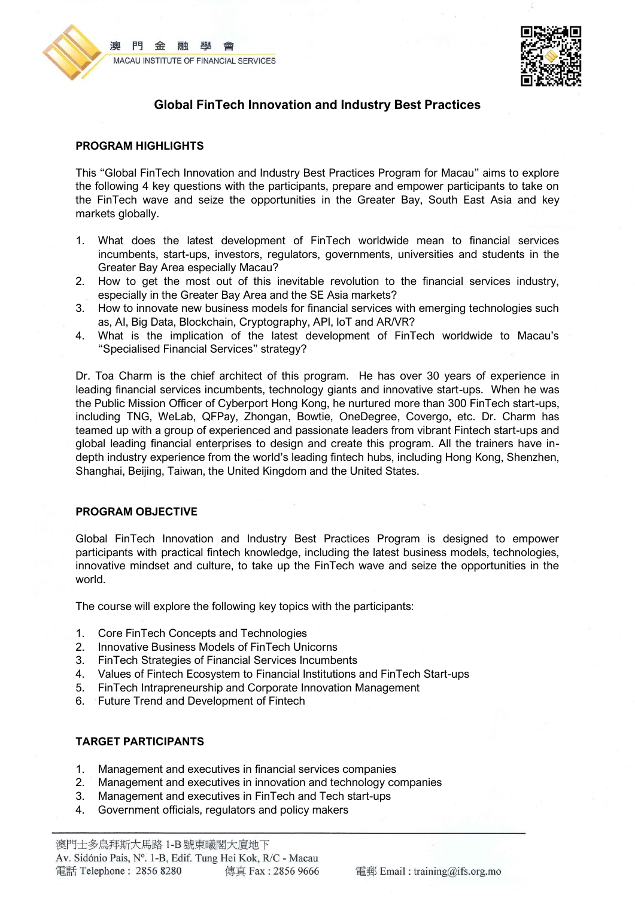



# **Global FinTech Innovation and Industry Best Practices**

#### **PROGRAM HIGHLIGHTS**

This "Global FinTech Innovation and Industry Best Practices Program for Macau" aims to explore the following 4 key questions with the participants, prepare and empower participants to take on the FinTech wave and seize the opportunities in the Greater Bay, South East Asia and key markets globally.

- 1. What does the latest development of FinTech worldwide mean to financial services incumbents, start-ups, investors, regulators, governments, universities and students in the Greater Bay Area especially Macau?
- 2. How to get the most out of this inevitable revolution to the financial services industry, especially in the Greater Bay Area and the SE Asia markets?
- 3. How to innovate new business models for financial services with emerging technologies such as, AI, Big Data, Blockchain, Cryptography, API, IoT and AR/VR?
- 4. What is the implication of the latest development of FinTech worldwide to Macau's "Specialised Financial Services" strategy?

Dr. Toa Charm is the chief architect of this program. He has over 30 years of experience in leading financial services incumbents, technology giants and innovative start-ups. When he was the Public Mission Officer of Cyberport Hong Kong, he nurtured more than 300 FinTech start-ups, including TNG, WeLab, QFPay, Zhongan, Bowtie, OneDegree, Covergo, etc. Dr. Charm has teamed up with a group of experienced and passionate leaders from vibrant Fintech start-ups and global leading financial enterprises to design and create this program. All the trainers have indepth industry experience from the world's leading fintech hubs, including Hong Kong, Shenzhen, Shanghai, Beijing, Taiwan, the United Kingdom and the United States.

#### **PROGRAM OBJECTIVE**

Global FinTech Innovation and Industry Best Practices Program is designed to empower participants with practical fintech knowledge, including the latest business models, technologies, innovative mindset and culture, to take up the FinTech wave and seize the opportunities in the world.

The course will explore the following key topics with the participants:

- 1. Core FinTech Concepts and Technologies
- 2. Innovative Business Models of FinTech Unicorns
- 3. FinTech Strategies of Financial Services Incumbents
- 4. Values of Fintech Ecosystem to Financial Institutions and FinTech Start-ups
- 5. FinTech Intrapreneurship and Corporate Innovation Management
- 6. Future Trend and Development of Fintech

#### **TARGET PARTICIPANTS**

- 1. Management and executives in financial services companies
- 2. Management and executives in innovation and technology companies
- 3. Management and executives in FinTech and Tech start-ups
- 4. Government officials, regulators and policy makers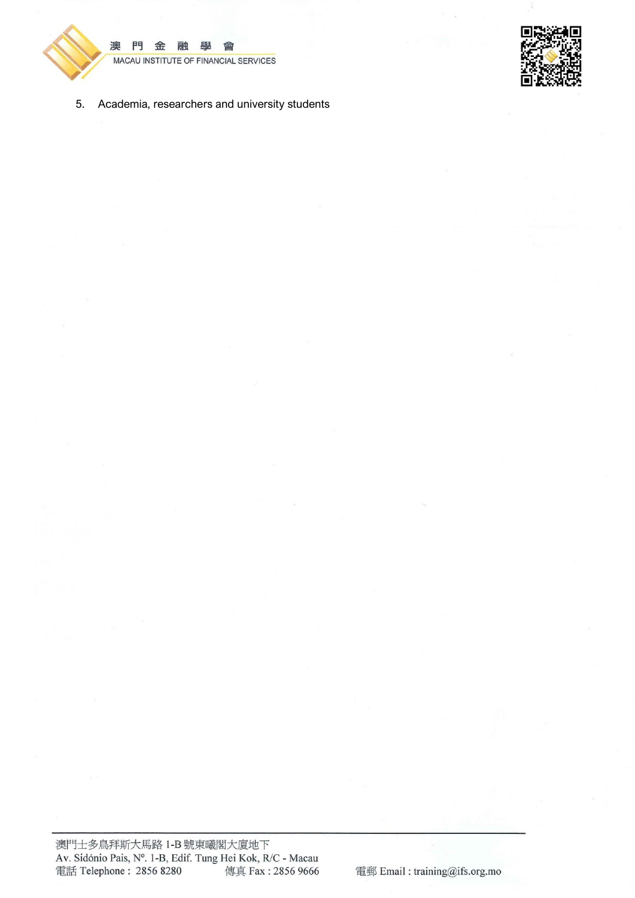

澳 門 金 融 學 會 MACAU INSTITUTE OF FINANCIAL SERVICES



5. Academia, researchers and university students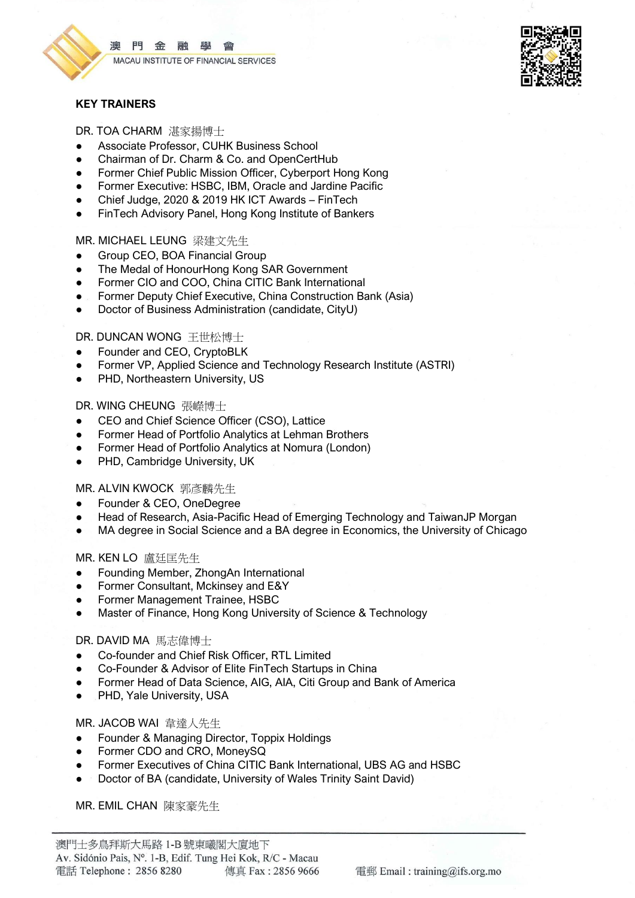

門金融學 漓 MACAU INSTITUTE OF FINANCIAL SERVICES



#### **KEY TRAINERS**

DR. TOA CHARM 湛家揚博士

- Associate Professor, CUHK Business School
- Chairman of Dr. Charm & Co. and OpenCertHub
- Former Chief Public Mission Officer, Cyberport Hong Kong
- Former Executive: HSBC, IBM, Oracle and Jardine Pacific
- Chief Judge, 2020 & 2019 HK ICT Awards FinTech
- FinTech Advisory Panel, Hong Kong Institute of Bankers

#### MR. MICHAEL LEUNG 梁建文先生

- Group CEO, BOA Financial Group
- The Medal of HonourHong Kong SAR Government
- Former CIO and COO, China CITIC Bank International
- Former Deputy Chief Executive, China Construction Bank (Asia)
- Doctor of Business Administration (candidate, CityU)

#### DR. DUNCAN WONG 王世松博士

- Founder and CEO, CryptoBLK
- Former VP, Applied Science and Technology Research Institute (ASTRI)
- PHD, Northeastern University, US

#### DR. WING CHEUNG 張嶸博士

- CEO and Chief Science Officer (CSO), Lattice
- Former Head of Portfolio Analytics at Lehman Brothers
- Former Head of Portfolio Analytics at Nomura (London)
- PHD, Cambridge University, UK

#### MR. ALVIN KWOCK 郭彥麟先生

- Founder & CEO, OneDegree
- Head of Research, Asia-Pacific Head of Emerging Technology and TaiwanJP Morgan
- MA degree in Social Science and a BA degree in Economics, the University of Chicago

#### MR. KEN LO 盧廷匡先生

- Founding Member, ZhongAn International
- Former Consultant, Mckinsey and E&Y
- Former Management Trainee, HSBC
- Master of Finance, Hong Kong University of Science & Technology

#### DR. DAVID MA 馬志偉博士

- Co-founder and Chief Risk Officer, RTL Limited
- Co-Founder & Advisor of Elite FinTech Startups in China
- Former Head of Data Science, AIG, AIA, Citi Group and Bank of America
- PHD, Yale University, USA

#### MR. JACOB WAI 韋達人先生

- Founder & Managing Director, Toppix Holdings
- Former CDO and CRO, MoneySQ
- Former Executives of China CITIC Bank International, UBS AG and HSBC
- Doctor of BA (candidate, University of Wales Trinity Saint David)

MR. EMIL CHAN 陳家豪先生